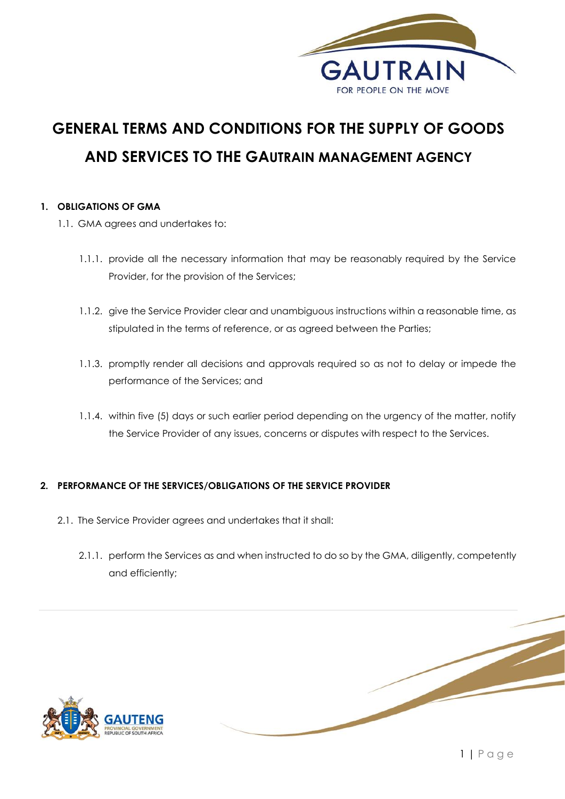

# **GENERAL TERMS AND CONDITIONS FOR THE SUPPLY OF GOODS AND SERVICES TO THE GAUTRAIN MANAGEMENT AGENCY**

# **1. OBLIGATIONS OF GMA**

- 1.1. GMA agrees and undertakes to:
	- 1.1.1. provide all the necessary information that may be reasonably required by the Service Provider, for the provision of the Services;
	- 1.1.2. give the Service Provider clear and unambiguous instructions within a reasonable time, as stipulated in the terms of reference, or as agreed between the Parties;
	- 1.1.3. promptly render all decisions and approvals required so as not to delay or impede the performance of the Services; and
	- 1.1.4. within five (5) days or such earlier period depending on the urgency of the matter, notify the Service Provider of any issues, concerns or disputes with respect to the Services.

# **2. PERFORMANCE OF THE SERVICES/OBLIGATIONS OF THE SERVICE PROVIDER**

- 2.1. The Service Provider agrees and undertakes that it shall:
	- 2.1.1. perform the Services as and when instructed to do so by the GMA, diligently, competently and efficiently;

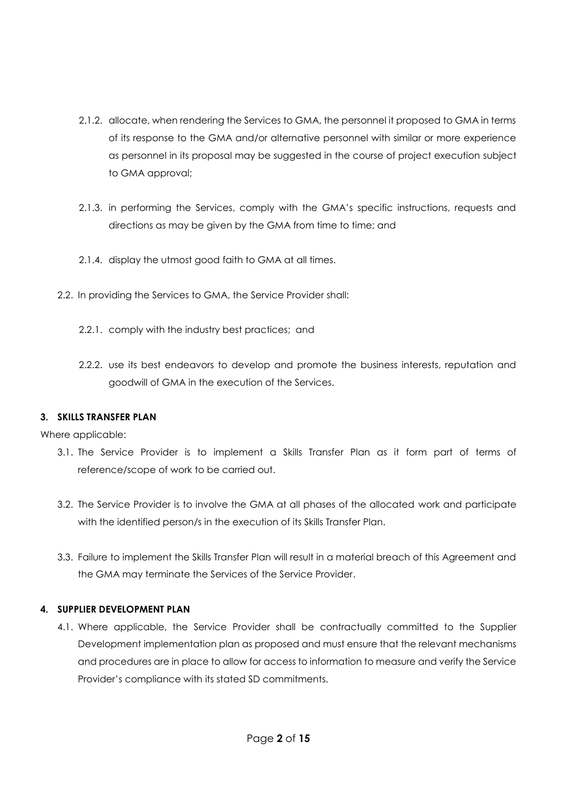- 2.1.2. allocate, when rendering the Services to GMA, the personnel it proposed to GMA in terms of its response to the GMA and/or alternative personnel with similar or more experience as personnel in its proposal may be suggested in the course of project execution subject to GMA approval;
- 2.1.3. in performing the Services, comply with the GMA's specific instructions, requests and directions as may be given by the GMA from time to time; and
- 2.1.4. display the utmost good faith to GMA at all times.
- 2.2. In providing the Services to GMA, the Service Provider shall:
	- 2.2.1. comply with the industry best practices; and
	- 2.2.2. use its best endeavors to develop and promote the business interests, reputation and goodwill of GMA in the execution of the Services.

## **3. SKILLS TRANSFER PLAN**

Where applicable:

- 3.1. The Service Provider is to implement a Skills Transfer Plan as it form part of terms of reference/scope of work to be carried out.
- 3.2. The Service Provider is to involve the GMA at all phases of the allocated work and participate with the identified person/s in the execution of its Skills Transfer Plan.
- 3.3. Failure to implement the Skills Transfer Plan will result in a material breach of this Agreement and the GMA may terminate the Services of the Service Provider.

# **4. SUPPLIER DEVELOPMENT PLAN**

4.1. Where applicable, the Service Provider shall be contractually committed to the Supplier Development implementation plan as proposed and must ensure that the relevant mechanisms and procedures are in place to allow for access to information to measure and verify the Service Provider's compliance with its stated SD commitments.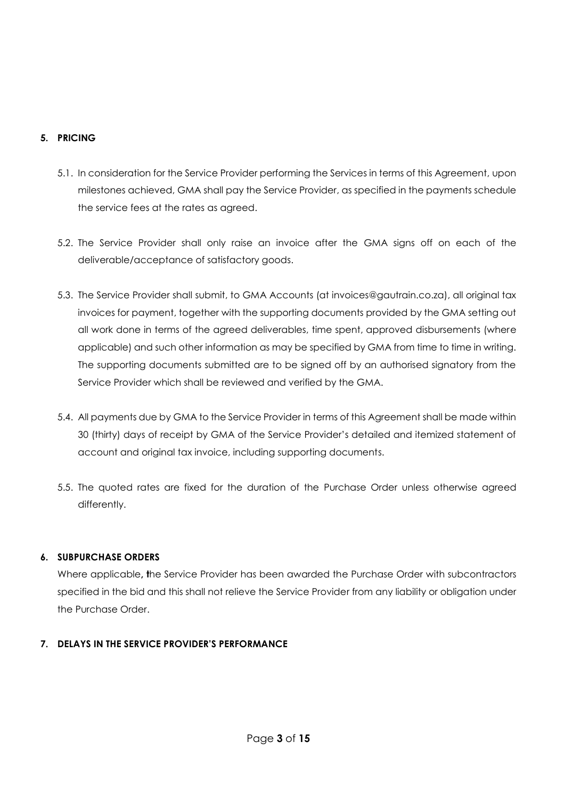# **5. PRICING**

- 5.1. In consideration for the Service Provider performing the Services in terms of this Agreement, upon milestones achieved, GMA shall pay the Service Provider, as specified in the payments schedule the service fees at the rates as agreed.
- 5.2. The Service Provider shall only raise an invoice after the GMA signs off on each of the deliverable/acceptance of satisfactory goods.
- 5.3. The Service Provider shall submit, to GMA Accounts (at invoices@gautrain.co.za), all original tax invoices for payment, together with the supporting documents provided by the GMA setting out all work done in terms of the agreed deliverables, time spent, approved disbursements (where applicable) and such other information as may be specified by GMA from time to time in writing. The supporting documents submitted are to be signed off by an authorised signatory from the Service Provider which shall be reviewed and verified by the GMA.
- 5.4. All payments due by GMA to the Service Provider in terms of this Agreement shall be made within 30 (thirty) days of receipt by GMA of the Service Provider's detailed and itemized statement of account and original tax invoice, including supporting documents.
- 5.5. The quoted rates are fixed for the duration of the Purchase Order unless otherwise agreed differently.

# **6. SUBPURCHASE ORDERS**

Where applicable**, t**he Service Provider has been awarded the Purchase Order with subcontractors specified in the bid and this shall not relieve the Service Provider from any liability or obligation under the Purchase Order.

# **7. DELAYS IN THE SERVICE PROVIDER'S PERFORMANCE**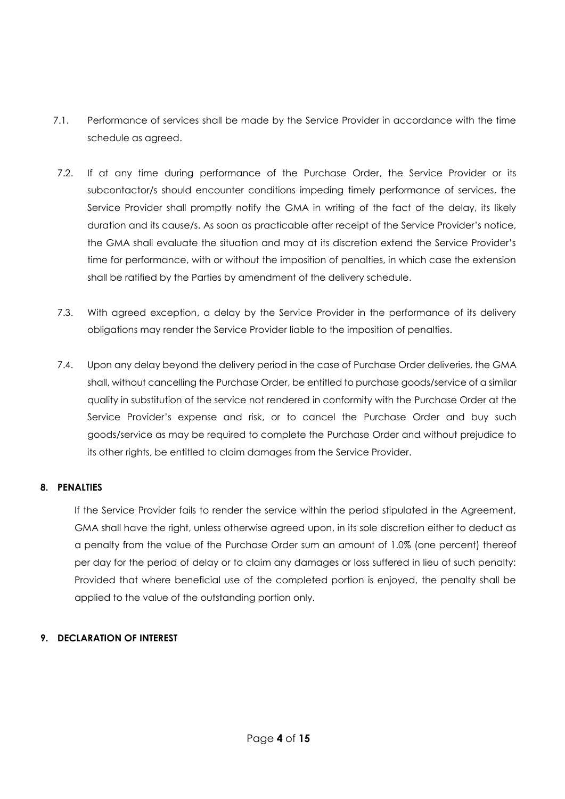- 7.1. Performance of services shall be made by the Service Provider in accordance with the time schedule as agreed.
- 7.2. If at any time during performance of the Purchase Order, the Service Provider or its subcontactor/s should encounter conditions impeding timely performance of services, the Service Provider shall promptly notify the GMA in writing of the fact of the delay, its likely duration and its cause/s. As soon as practicable after receipt of the Service Provider's notice, the GMA shall evaluate the situation and may at its discretion extend the Service Provider's time for performance, with or without the imposition of penalties, in which case the extension shall be ratified by the Parties by amendment of the delivery schedule.
- 7.3. With agreed exception, a delay by the Service Provider in the performance of its delivery obligations may render the Service Provider liable to the imposition of penalties.
- 7.4. Upon any delay beyond the delivery period in the case of Purchase Order deliveries, the GMA shall, without cancelling the Purchase Order, be entitled to purchase goods/service of a similar quality in substitution of the service not rendered in conformity with the Purchase Order at the Service Provider's expense and risk, or to cancel the Purchase Order and buy such goods/service as may be required to complete the Purchase Order and without prejudice to its other rights, be entitled to claim damages from the Service Provider.

## **8. PENALTIES**

If the Service Provider fails to render the service within the period stipulated in the Agreement, GMA shall have the right, unless otherwise agreed upon, in its sole discretion either to deduct as a penalty from the value of the Purchase Order sum an amount of 1.0% (one percent) thereof per day for the period of delay or to claim any damages or loss suffered in lieu of such penalty: Provided that where beneficial use of the completed portion is enjoyed, the penalty shall be applied to the value of the outstanding portion only.

# **9. DECLARATION OF INTEREST**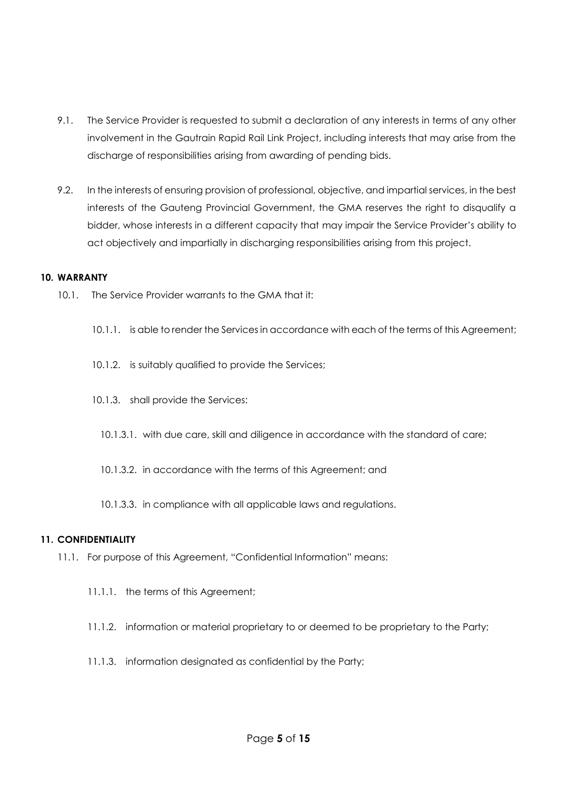- 9.1. The Service Provider is requested to submit a declaration of any interests in terms of any other involvement in the Gautrain Rapid Rail Link Project, including interests that may arise from the discharge of responsibilities arising from awarding of pending bids.
- 9.2. In the interests of ensuring provision of professional, objective, and impartial services, in the best interests of the Gauteng Provincial Government, the GMA reserves the right to disqualify a bidder, whose interests in a different capacity that may impair the Service Provider's ability to act objectively and impartially in discharging responsibilities arising from this project.

## **10. WARRANTY**

- 10.1. The Service Provider warrants to the GMA that it:
	- 10.1.1. is able to render the Services in accordance with each of the terms of this Agreement;
	- 10.1.2. is suitably qualified to provide the Services;
	- 10.1.3. shall provide the Services:
		- 10.1.3.1. with due care, skill and diligence in accordance with the standard of care;
		- 10.1.3.2. in accordance with the terms of this Agreement; and
		- 10.1.3.3. in compliance with all applicable laws and regulations.

## **11. CONFIDENTIALITY**

- 11.1. For purpose of this Agreement, "Confidential Information" means:
	- 11.1.1. the terms of this Agreement;
	- 11.1.2. information or material proprietary to or deemed to be proprietary to the Party;
	- 11.1.3. information designated as confidential by the Party;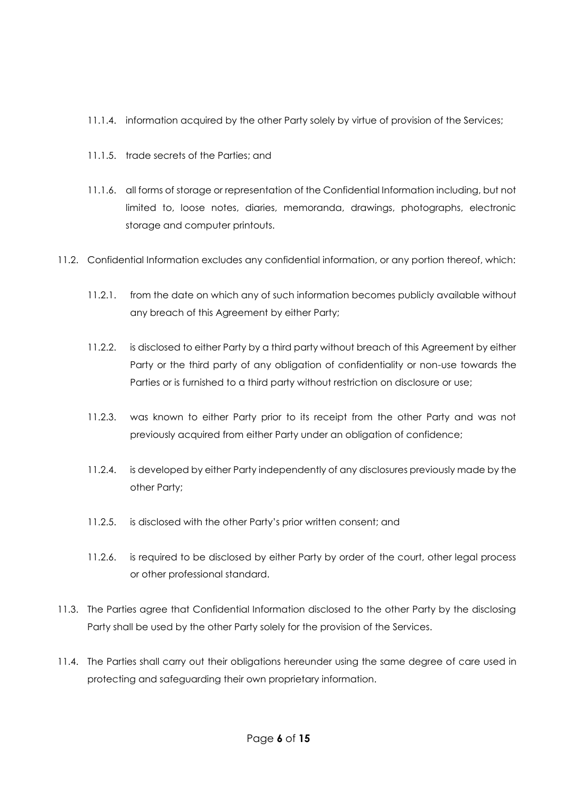- 11.1.4. information acquired by the other Party solely by virtue of provision of the Services;
- 11.1.5. trade secrets of the Parties; and
- 11.1.6. all forms of storage or representation of the Confidential Information including, but not limited to, loose notes, diaries, memoranda, drawings, photographs, electronic storage and computer printouts.
- 11.2. Confidential Information excludes any confidential information, or any portion thereof, which:
	- 11.2.1. from the date on which any of such information becomes publicly available without any breach of this Agreement by either Party;
	- 11.2.2. is disclosed to either Party by a third party without breach of this Agreement by either Party or the third party of any obligation of confidentiality or non-use towards the Parties or is furnished to a third party without restriction on disclosure or use;
	- 11.2.3. was known to either Party prior to its receipt from the other Party and was not previously acquired from either Party under an obligation of confidence;
	- 11.2.4. is developed by either Party independently of any disclosures previously made by the other Party;
	- 11.2.5. is disclosed with the other Party's prior written consent; and
	- 11.2.6. is required to be disclosed by either Party by order of the court, other legal process or other professional standard.
- 11.3. The Parties agree that Confidential Information disclosed to the other Party by the disclosing Party shall be used by the other Party solely for the provision of the Services.
- 11.4. The Parties shall carry out their obligations hereunder using the same degree of care used in protecting and safeguarding their own proprietary information.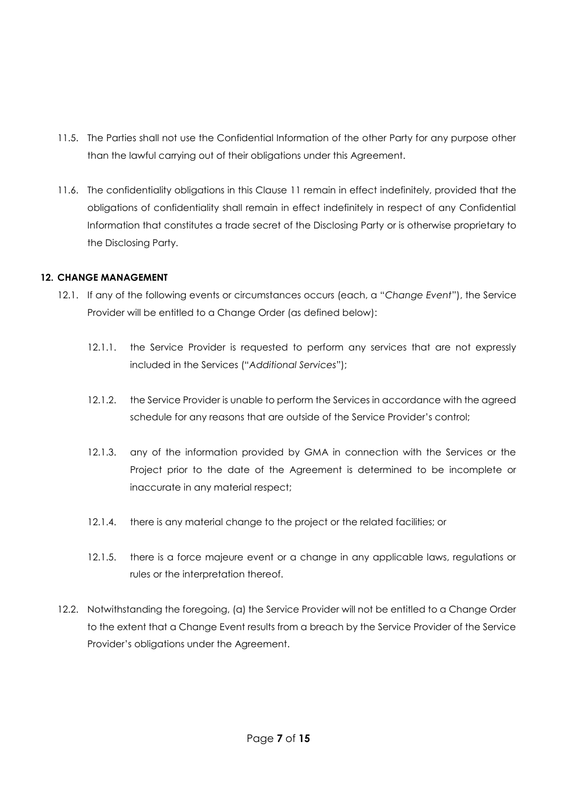- 11.5. The Parties shall not use the Confidential Information of the other Party for any purpose other than the lawful carrying out of their obligations under this Agreement.
- 11.6. The confidentiality obligations in this Clause 11 remain in effect indefinitely, provided that the obligations of confidentiality shall remain in effect indefinitely in respect of any Confidential Information that constitutes a trade secret of the Disclosing Party or is otherwise proprietary to the Disclosing Party.

# **12. CHANGE MANAGEMENT**

- 12.1. If any of the following events or circumstances occurs (each, a "*Change Event*"), the Service Provider will be entitled to a Change Order (as defined below):
	- 12.1.1. the Service Provider is requested to perform any services that are not expressly included in the Services ("*Additional Services*");
	- 12.1.2. the Service Provider is unable to perform the Services in accordance with the agreed schedule for any reasons that are outside of the Service Provider's control;
	- 12.1.3. any of the information provided by GMA in connection with the Services or the Project prior to the date of the Agreement is determined to be incomplete or inaccurate in any material respect;
	- 12.1.4. there is any material change to the project or the related facilities; or
	- 12.1.5. there is a force majeure event or a change in any applicable laws, regulations or rules or the interpretation thereof.
- 12.2. Notwithstanding the foregoing, (a) the Service Provider will not be entitled to a Change Order to the extent that a Change Event results from a breach by the Service Provider of the Service Provider's obligations under the Agreement.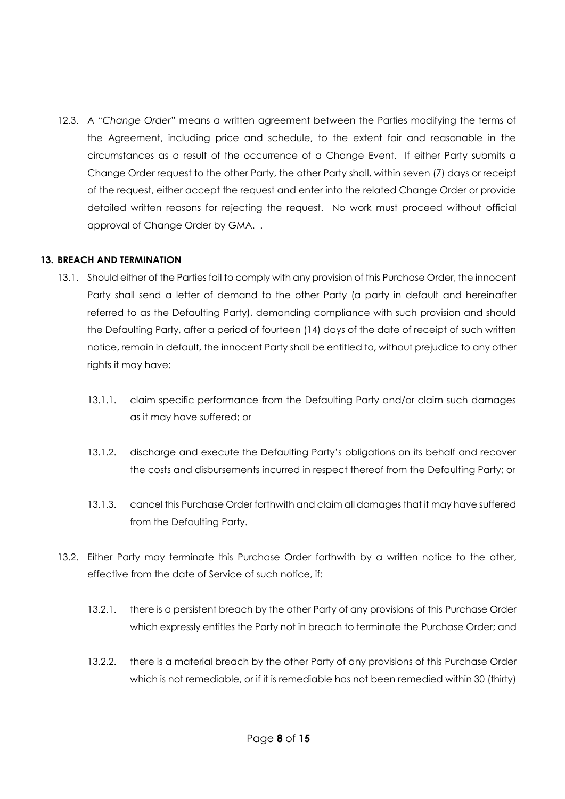12.3. A "*Change Order*" means a written agreement between the Parties modifying the terms of the Agreement, including price and schedule, to the extent fair and reasonable in the circumstances as a result of the occurrence of a Change Event. If either Party submits a Change Order request to the other Party, the other Party shall, within seven (7) days or receipt of the request, either accept the request and enter into the related Change Order or provide detailed written reasons for rejecting the request. No work must proceed without official approval of Change Order by GMA. .

## **13. BREACH AND TERMINATION**

- 13.1. Should either of the Parties fail to comply with any provision of this Purchase Order, the innocent Party shall send a letter of demand to the other Party (a party in default and hereinafter referred to as the Defaulting Party), demanding compliance with such provision and should the Defaulting Party, after a period of fourteen (14) days of the date of receipt of such written notice, remain in default, the innocent Party shall be entitled to, without prejudice to any other rights it may have:
	- 13.1.1. claim specific performance from the Defaulting Party and/or claim such damages as it may have suffered; or
	- 13.1.2. discharge and execute the Defaulting Party's obligations on its behalf and recover the costs and disbursements incurred in respect thereof from the Defaulting Party; or
	- 13.1.3. cancel this Purchase Order forthwith and claim all damages that it may have suffered from the Defaulting Party.
- 13.2. Either Party may terminate this Purchase Order forthwith by a written notice to the other, effective from the date of Service of such notice, if:
	- 13.2.1. there is a persistent breach by the other Party of any provisions of this Purchase Order which expressly entitles the Party not in breach to terminate the Purchase Order; and
	- 13.2.2. there is a material breach by the other Party of any provisions of this Purchase Order which is not remediable, or if it is remediable has not been remedied within 30 (thirty)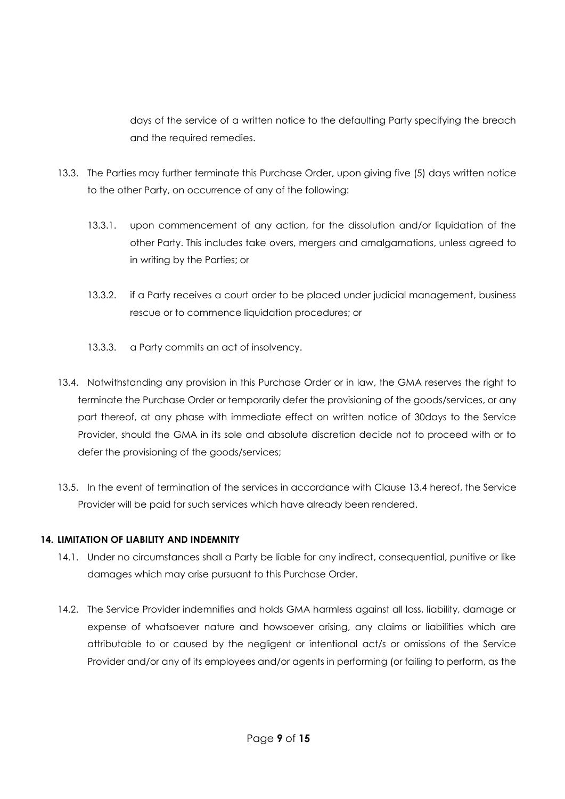days of the service of a written notice to the defaulting Party specifying the breach and the required remedies.

- 13.3. The Parties may further terminate this Purchase Order, upon giving five (5) days written notice to the other Party, on occurrence of any of the following:
	- 13.3.1. upon commencement of any action, for the dissolution and/or liquidation of the other Party. This includes take overs, mergers and amalgamations, unless agreed to in writing by the Parties; or
	- 13.3.2. if a Party receives a court order to be placed under judicial management, business rescue or to commence liquidation procedures; or
	- 13.3.3. a Party commits an act of insolvency.
- 13.4. Notwithstanding any provision in this Purchase Order or in law, the GMA reserves the right to terminate the Purchase Order or temporarily defer the provisioning of the goods/services, or any part thereof, at any phase with immediate effect on written notice of 30days to the Service Provider, should the GMA in its sole and absolute discretion decide not to proceed with or to defer the provisioning of the goods/services;
- 13.5. In the event of termination of the services in accordance with Clause 13.4 hereof, the Service Provider will be paid for such services which have already been rendered.

# **14. LIMITATION OF LIABILITY AND INDEMNITY**

- 14.1. Under no circumstances shall a Party be liable for any indirect, consequential, punitive or like damages which may arise pursuant to this Purchase Order.
- 14.2. The Service Provider indemnifies and holds GMA harmless against all loss, liability, damage or expense of whatsoever nature and howsoever arising, any claims or liabilities which are attributable to or caused by the negligent or intentional act/s or omissions of the Service Provider and/or any of its employees and/or agents in performing (or failing to perform, as the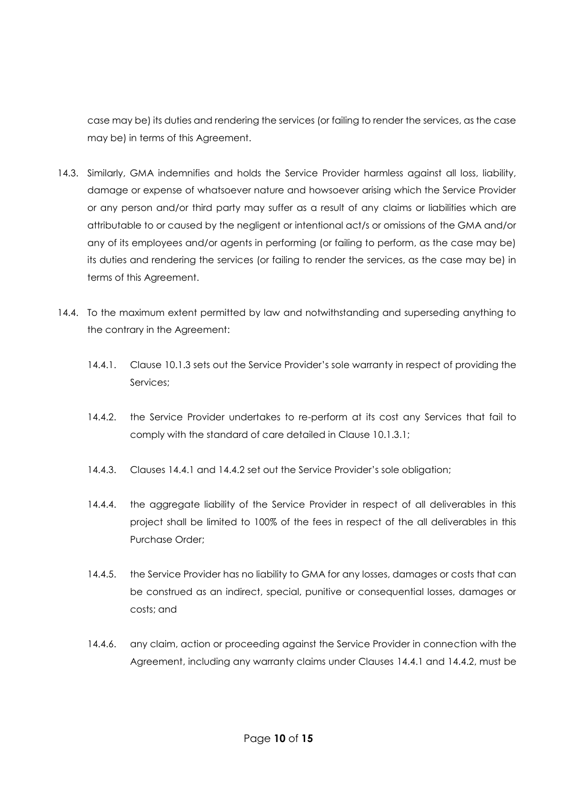case may be) its duties and rendering the services (or failing to render the services, as the case may be) in terms of this Agreement.

- 14.3. Similarly, GMA indemnifies and holds the Service Provider harmless against all loss, liability, damage or expense of whatsoever nature and howsoever arising which the Service Provider or any person and/or third party may suffer as a result of any claims or liabilities which are attributable to or caused by the negligent or intentional act/s or omissions of the GMA and/or any of its employees and/or agents in performing (or failing to perform, as the case may be) its duties and rendering the services (or failing to render the services, as the case may be) in terms of this Agreement.
- 14.4. To the maximum extent permitted by law and notwithstanding and superseding anything to the contrary in the Agreement:
	- 14.4.1. Clause 10.1.3 sets out the Service Provider's sole warranty in respect of providing the Services;
	- 14.4.2. the Service Provider undertakes to re-perform at its cost any Services that fail to comply with the standard of care detailed in Clause 10.1.3.1;
	- 14.4.3. Clauses 14.4.1 and 14.4.2 set out the Service Provider's sole obligation;
	- 14.4.4. the aggregate liability of the Service Provider in respect of all deliverables in this project shall be limited to 100% of the fees in respect of the all deliverables in this Purchase Order;
	- 14.4.5. the Service Provider has no liability to GMA for any losses, damages or costs that can be construed as an indirect, special, punitive or consequential losses, damages or costs; and
	- 14.4.6. any claim, action or proceeding against the Service Provider in connection with the Agreement, including any warranty claims under Clauses 14.4.1 and 14.4.2, must be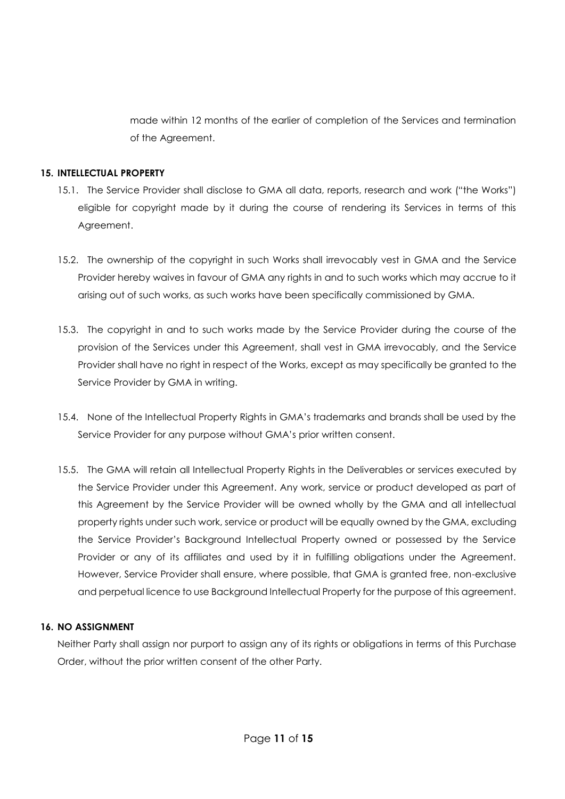made within 12 months of the earlier of completion of the Services and termination of the Agreement.

# **15. INTELLECTUAL PROPERTY**

- 15.1. The Service Provider shall disclose to GMA all data, reports, research and work ("the Works") eligible for copyright made by it during the course of rendering its Services in terms of this Agreement.
- 15.2. The ownership of the copyright in such Works shall irrevocably vest in GMA and the Service Provider hereby waives in favour of GMA any rights in and to such works which may accrue to it arising out of such works, as such works have been specifically commissioned by GMA.
- 15.3. The copyright in and to such works made by the Service Provider during the course of the provision of the Services under this Agreement, shall vest in GMA irrevocably, and the Service Provider shall have no right in respect of the Works, except as may specifically be granted to the Service Provider by GMA in writing.
- 15.4. None of the Intellectual Property Rights in GMA's trademarks and brands shall be used by the Service Provider for any purpose without GMA's prior written consent.
- 15.5. The GMA will retain all Intellectual Property Rights in the Deliverables or services executed by the Service Provider under this Agreement. Any work, service or product developed as part of this Agreement by the Service Provider will be owned wholly by the GMA and all intellectual property rights under such work, service or product will be equally owned by the GMA, excluding the Service Provider's Background Intellectual Property owned or possessed by the Service Provider or any of its affiliates and used by it in fulfilling obligations under the Agreement. However, Service Provider shall ensure, where possible, that GMA is granted free, non-exclusive and perpetual licence to use Background Intellectual Property for the purpose of this agreement.

## **16. NO ASSIGNMENT**

Neither Party shall assign nor purport to assign any of its rights or obligations in terms of this Purchase Order, without the prior written consent of the other Party.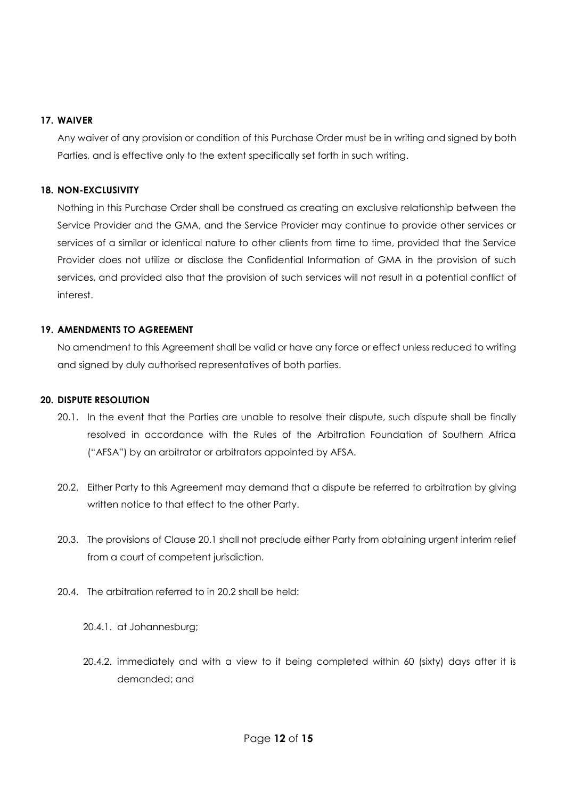#### **17. WAIVER**

Any waiver of any provision or condition of this Purchase Order must be in writing and signed by both Parties, and is effective only to the extent specifically set forth in such writing.

## **18. NON-EXCLUSIVITY**

Nothing in this Purchase Order shall be construed as creating an exclusive relationship between the Service Provider and the GMA, and the Service Provider may continue to provide other services or services of a similar or identical nature to other clients from time to time, provided that the Service Provider does not utilize or disclose the Confidential Information of GMA in the provision of such services, and provided also that the provision of such services will not result in a potential conflict of interest.

# **19. AMENDMENTS TO AGREEMENT**

No amendment to this Agreement shall be valid or have any force or effect unless reduced to writing and signed by duly authorised representatives of both parties.

## **20. DISPUTE RESOLUTION**

- 20.1. In the event that the Parties are unable to resolve their dispute, such dispute shall be finally resolved in accordance with the Rules of the Arbitration Foundation of Southern Africa ("AFSA") by an arbitrator or arbitrators appointed by AFSA.
- 20.2. Either Party to this Agreement may demand that a dispute be referred to arbitration by giving written notice to that effect to the other Party.
- 20.3. The provisions of Clause 20.1 shall not preclude either Party from obtaining urgent interim relief from a court of competent jurisdiction.
- 20.4. The arbitration referred to in 20.2 shall be held:
	- 20.4.1. at Johannesburg;
	- 20.4.2. immediately and with a view to it being completed within 60 (sixty) days after it is demanded; and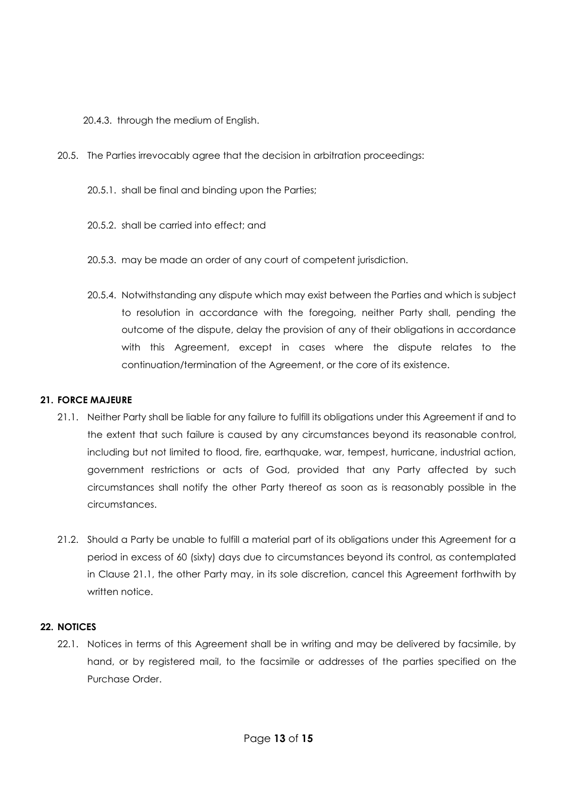20.4.3. through the medium of English.

- 20.5. The Parties irrevocably agree that the decision in arbitration proceedings:
	- 20.5.1. shall be final and binding upon the Parties;
	- 20.5.2. shall be carried into effect; and
	- 20.5.3. may be made an order of any court of competent jurisdiction.
	- 20.5.4. Notwithstanding any dispute which may exist between the Parties and which is subject to resolution in accordance with the foregoing, neither Party shall, pending the outcome of the dispute, delay the provision of any of their obligations in accordance with this Agreement, except in cases where the dispute relates to the continuation/termination of the Agreement, or the core of its existence.

# **21. FORCE MAJEURE**

- 21.1. Neither Party shall be liable for any failure to fulfill its obligations under this Agreement if and to the extent that such failure is caused by any circumstances beyond its reasonable control, including but not limited to flood, fire, earthquake, war, tempest, hurricane, industrial action, government restrictions or acts of God, provided that any Party affected by such circumstances shall notify the other Party thereof as soon as is reasonably possible in the circumstances.
- 21.2. Should a Party be unable to fulfill a material part of its obligations under this Agreement for a period in excess of 60 (sixty) days due to circumstances beyond its control, as contemplated in Clause 21.1, the other Party may, in its sole discretion, cancel this Agreement forthwith by written notice.

## **22. NOTICES**

22.1. Notices in terms of this Agreement shall be in writing and may be delivered by facsimile, by hand, or by registered mail, to the facsimile or addresses of the parties specified on the Purchase Order.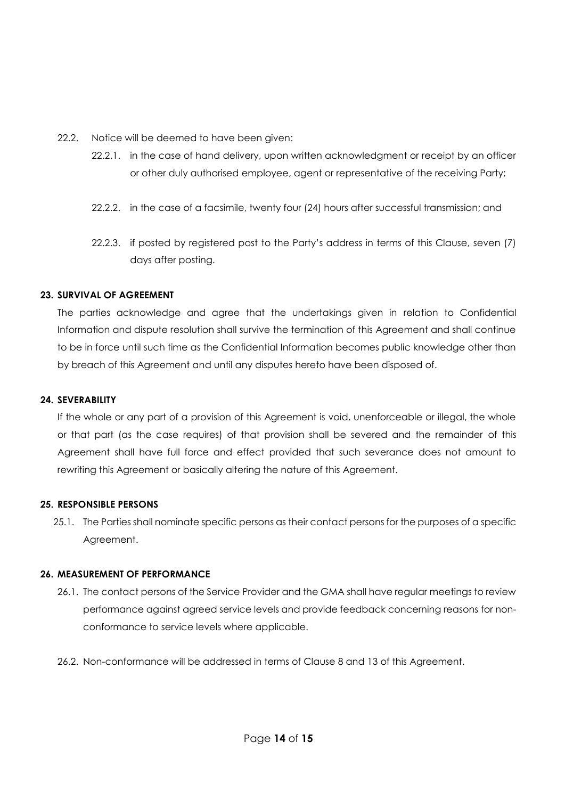- 22.2. Notice will be deemed to have been given:
	- 22.2.1. in the case of hand delivery, upon written acknowledgment or receipt by an officer or other duly authorised employee, agent or representative of the receiving Party;
	- 22.2.2. in the case of a facsimile, twenty four (24) hours after successful transmission; and
	- 22.2.3. if posted by registered post to the Party's address in terms of this Clause, seven (7) days after posting.

## **23. SURVIVAL OF AGREEMENT**

The parties acknowledge and agree that the undertakings given in relation to Confidential Information and dispute resolution shall survive the termination of this Agreement and shall continue to be in force until such time as the Confidential Information becomes public knowledge other than by breach of this Agreement and until any disputes hereto have been disposed of.

# **24. SEVERABILITY**

If the whole or any part of a provision of this Agreement is void, unenforceable or illegal, the whole or that part (as the case requires) of that provision shall be severed and the remainder of this Agreement shall have full force and effect provided that such severance does not amount to rewriting this Agreement or basically altering the nature of this Agreement.

## **25. RESPONSIBLE PERSONS**

25.1. The Parties shall nominate specific persons as their contact persons for the purposes of a specific Agreement.

## **26. MEASUREMENT OF PERFORMANCE**

- 26.1. The contact persons of the Service Provider and the GMA shall have regular meetings to review performance against agreed service levels and provide feedback concerning reasons for nonconformance to service levels where applicable.
- 26.2. Non-conformance will be addressed in terms of Clause 8 and 13 of this Agreement.